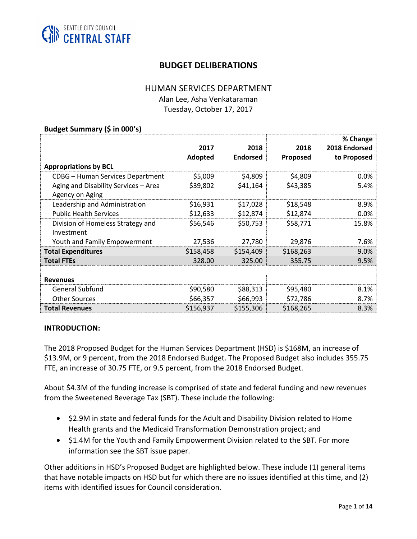

# **BUDGET DELIBERATIONS**

#### HUMAN SERVICES DEPARTMENT

Alan Lee, Asha Venkataraman Tuesday, October 17, 2017

#### **Budget Summary (\$ in 000's)**

|                                      | 2017<br>Adopted | 2018<br><b>Endorsed</b> | 2018<br>Proposed | % Change<br>2018 Endorsed<br>to Proposed |
|--------------------------------------|-----------------|-------------------------|------------------|------------------------------------------|
| <b>Appropriations by BCL</b>         |                 |                         |                  |                                          |
| CDBG - Human Services Department     | \$5,009         | \$4,809                 | \$4,809          | $0.0\%$                                  |
| Aging and Disability Services - Area | \$39,802        | \$41,164                | \$43,385         | 5.4%                                     |
| Agency on Aging                      |                 |                         |                  |                                          |
| Leadership and Administration        | \$16,931        | \$17,028                | \$18,548         | 8.9%                                     |
| <b>Public Health Services</b>        | \$12,633        | \$12,874                | \$12,874         | 0.0%                                     |
| Division of Homeless Strategy and    | \$56,546        | \$50,753                | \$58,771         | 15.8%                                    |
| Investment                           |                 |                         |                  |                                          |
| Youth and Family Empowerment         | 27,536          | 27,780                  | 29,876           | 7.6%                                     |
| <b>Total Expenditures</b>            | \$158,458       | \$154,409               | \$168,263        | 9.0%                                     |
| <b>Total FTEs</b>                    | 328.00          | 325.00                  | 355.75           | 9.5%                                     |
|                                      |                 |                         |                  |                                          |
| <b>Revenues</b>                      |                 |                         |                  |                                          |
| <b>General Subfund</b>               | \$90,580        | \$88,313                | \$95,480         | 8.1%                                     |
| <b>Other Sources</b>                 | \$66,357        | \$66,993                | \$72,786         | 8.7%                                     |
| <b>Total Revenues</b>                | \$156,937       | \$155,306               | \$168,265        | 8.3%                                     |

#### **INTRODUCTION:**

The 2018 Proposed Budget for the Human Services Department (HSD) is \$168M, an increase of \$13.9M, or 9 percent, from the 2018 Endorsed Budget. The Proposed Budget also includes 355.75 FTE, an increase of 30.75 FTE, or 9.5 percent, from the 2018 Endorsed Budget.

About \$4.3M of the funding increase is comprised of state and federal funding and new revenues from the Sweetened Beverage Tax (SBT). These include the following:

- \$2.9M in state and federal funds for the Adult and Disability Division related to Home Health grants and the Medicaid Transformation Demonstration project; and
- \$1.4M for the Youth and Family Empowerment Division related to the SBT. For more information see the SBT issue paper.

Other additions in HSD's Proposed Budget are highlighted below. These include (1) general items that have notable impacts on HSD but for which there are no issues identified at this time, and (2) items with identified issues for Council consideration.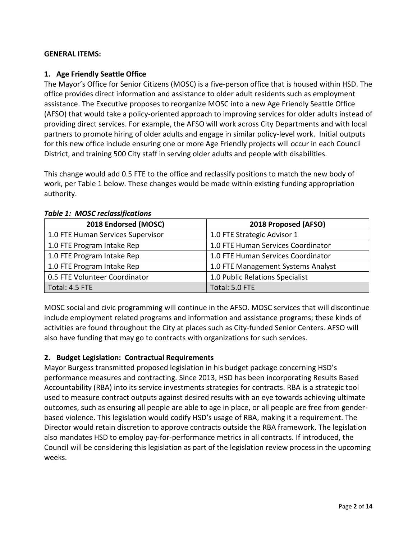### **GENERAL ITEMS:**

### **1. Age Friendly Seattle Office**

The Mayor's Office for Senior Citizens (MOSC) is a five-person office that is housed within HSD. The office provides direct information and assistance to older adult residents such as employment assistance. The Executive proposes to reorganize MOSC into a new Age Friendly Seattle Office (AFSO) that would take a policy-oriented approach to improving services for older adults instead of providing direct services. For example, the AFSO will work across City Departments and with local partners to promote hiring of older adults and engage in similar policy-level work. Initial outputs for this new office include ensuring one or more Age Friendly projects will occur in each Council District, and training 500 City staff in serving older adults and people with disabilities.

This change would add 0.5 FTE to the office and reclassify positions to match the new body of work, per Table 1 below. These changes would be made within existing funding appropriation authority.

| 2018 Endorsed (MOSC)              | 2018 Proposed (AFSO)               |  |
|-----------------------------------|------------------------------------|--|
| 1.0 FTE Human Services Supervisor | 1.0 FTE Strategic Advisor 1        |  |
| 1.0 FTE Program Intake Rep        | 1.0 FTE Human Services Coordinator |  |
| 1.0 FTE Program Intake Rep        | 1.0 FTE Human Services Coordinator |  |
| 1.0 FTE Program Intake Rep        | 1.0 FTE Management Systems Analyst |  |
| 0.5 FTE Volunteer Coordinator     | 1.0 Public Relations Specialist    |  |
| Total: 4.5 FTE                    | Total: 5.0 FTE                     |  |

### *Table 1: MOSC reclassifications*

MOSC social and civic programming will continue in the AFSO. MOSC services that will discontinue include employment related programs and information and assistance programs; these kinds of activities are found throughout the City at places such as City-funded Senior Centers. AFSO will also have funding that may go to contracts with organizations for such services.

## **2. Budget Legislation: Contractual Requirements**

Mayor Burgess transmitted proposed legislation in his budget package concerning HSD's performance measures and contracting. Since 2013, HSD has been incorporating Results Based Accountability (RBA) into its service investments strategies for contracts. RBA is a strategic tool used to measure contract outputs against desired results with an eye towards achieving ultimate outcomes, such as ensuring all people are able to age in place, or all people are free from genderbased violence. This legislation would codify HSD's usage of RBA, making it a requirement. The Director would retain discretion to approve contracts outside the RBA framework. The legislation also mandates HSD to employ pay-for-performance metrics in all contracts. If introduced, the Council will be considering this legislation as part of the legislation review process in the upcoming weeks.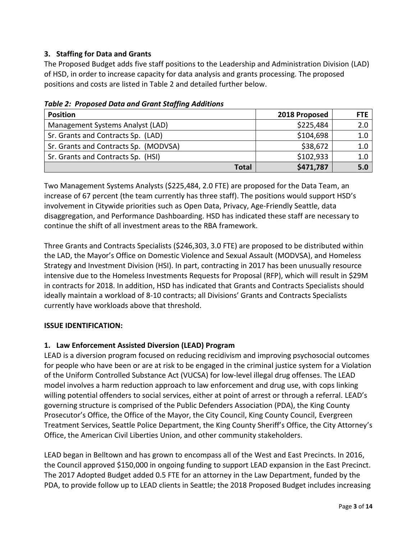## **3. Staffing for Data and Grants**

The Proposed Budget adds five staff positions to the Leadership and Administration Division (LAD) of HSD, in order to increase capacity for data analysis and grants processing. The proposed positions and costs are listed in Table 2 and detailed further below.

| <b>Position</b>                       | 2018 Proposed | <b>FTE</b> |
|---------------------------------------|---------------|------------|
| Management Systems Analyst (LAD)      | \$225,484     | 2.0        |
| Sr. Grants and Contracts Sp. (LAD)    | \$104,698     | 1.0        |
| Sr. Grants and Contracts Sp. (MODVSA) | \$38,672      | 1.0        |
| Sr. Grants and Contracts Sp. (HSI)    | \$102,933     | 1.0        |
| <b>Total</b>                          | \$471,787     | 5.0        |

*Table 2: Proposed Data and Grant Staffing Additions*

Two Management Systems Analysts (\$225,484, 2.0 FTE) are proposed for the Data Team, an increase of 67 percent (the team currently has three staff). The positions would support HSD's involvement in Citywide priorities such as Open Data, Privacy, Age-Friendly Seattle, data disaggregation, and Performance Dashboarding. HSD has indicated these staff are necessary to continue the shift of all investment areas to the RBA framework.

Three Grants and Contracts Specialists (\$246,303, 3.0 FTE) are proposed to be distributed within the LAD, the Mayor's Office on Domestic Violence and Sexual Assault (MODVSA), and Homeless Strategy and Investment Division (HSI). In part, contracting in 2017 has been unusually resource intensive due to the Homeless Investments Requests for Proposal (RFP), which will result in \$29M in contracts for 2018. In addition, HSD has indicated that Grants and Contracts Specialists should ideally maintain a workload of 8-10 contracts; all Divisions' Grants and Contracts Specialists currently have workloads above that threshold.

## **ISSUE IDENTIFICATION:**

## **1. Law Enforcement Assisted Diversion (LEAD) Program**

LEAD is a diversion program focused on reducing recidivism and improving psychosocial outcomes for people who have been or are at risk to be engaged in the criminal justice system for a Violation of the Uniform Controlled Substance Act (VUCSA) for low-level illegal drug offenses. The LEAD model involves a harm reduction approach to law enforcement and drug use, with cops linking willing potential offenders to social services, either at point of arrest or through a referral. LEAD's governing structure is comprised of the Public Defenders Association (PDA), the King County Prosecutor's Office, the Office of the Mayor, the City Council, King County Council, Evergreen Treatment Services, Seattle Police Department, the King County Sheriff's Office, the City Attorney's Office, the American Civil Liberties Union, and other community stakeholders.

LEAD began in Belltown and has grown to encompass all of the West and East Precincts. In 2016, the Council approved \$150,000 in ongoing funding to support LEAD expansion in the East Precinct. The 2017 Adopted Budget added 0.5 FTE for an attorney in the Law Department, funded by the PDA, to provide follow up to LEAD clients in Seattle; the 2018 Proposed Budget includes increasing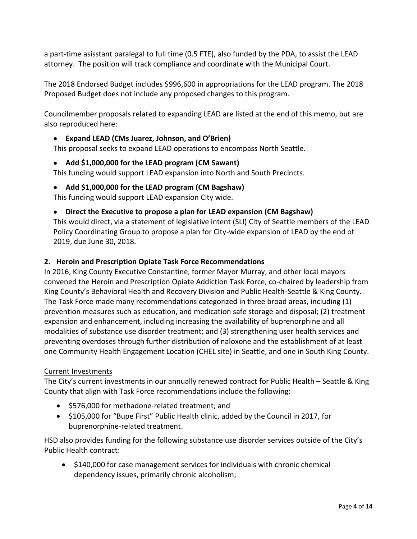a part-time asisstant paralegal to full time (0.5 FTE), also funded by the PDA, to assist the LEAD attorney. The position will track compliance and coordinate with the Municipal Court.

The 2018 Endorsed Budget includes \$996,600 in appropriations for the LEAD program. The 2018 Proposed Budget does not include any proposed changes to this program.

Councilmember proposals related to expanding LEAD are listed at the end of this memo, but are also reproduced here:

• **Expand LEAD (CMs Juarez, Johnson, and O'Brien)**

This proposal seeks to expand LEAD operations to encompass North Seattle.

• **Add \$1,000,000 for the LEAD program (CM Sawant)**

This funding would support LEAD expansion into North and South Precincts.

• **Add \$1,000,000 for the LEAD program (CM Bagshaw)**

This funding would support LEAD expansion City wide.

• **Direct the Executive to propose a plan for LEAD expansion (CM Bagshaw)**

This would direct, via a statement of legislative intent (SLI) City of Seattle members of the LEAD Policy Coordinating Group to propose a plan for City-wide expansion of LEAD by the end of 2019, due June 30, 2018.

### **2. Heroin and Prescription Opiate Task Force Recommendations**

In 2016, King County Executive Constantine, former Mayor Murray, and other local mayors convened the Heroin and Prescription Opiate Addiction Task Force, co-chaired by leadership from King County's Behavioral Health and Recovery Division and Public Health-Seattle & King County. The Task Force made many recommendations categorized in three broad areas, including (1) prevention measures such as education, and medication safe storage and disposal; (2) treatment expansion and enhancement, including increasing the availability of buprenorphine and all modalities of substance use disorder treatment; and (3) strengthening user health services and preventing overdoses through further distribution of naloxone and the establishment of at least one Community Health Engagement Location (CHEL site) in Seattle, and one in South King County.

### Current Investments

The City's current investments in our annually renewed contract for Public Health – Seattle & King County that align with Task Force recommendations include the following:

- \$576,000 for methadone-related treatment; and
- \$105,000 for "Bupe First" Public Health clinic, added by the Council in 2017, for buprenorphine-related treatment.

HSD also provides funding for the following substance use disorder services outside of the City's Public Health contract:

• \$140,000 for case management services for individuals with chronic chemical dependency issues, primarily chronic alcoholism;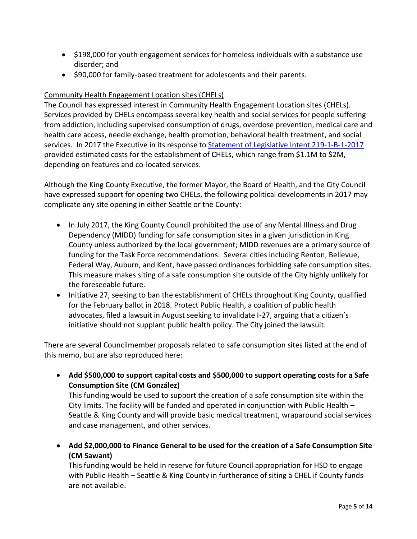- \$198,000 for youth engagement services for homeless individuals with a substance use disorder; and
- \$90,000 for family-based treatment for adolescents and their parents.

## Community Health Engagement Location sites (CHELs)

The Council has expressed interest in Community Health Engagement Location sites (CHELs). Services provided by CHELs encompass several key health and social services for people suffering from addiction, including supervised consumption of drugs, overdose prevention, medical care and health care access, needle exchange, health promotion, behavioral health treatment, and social services. In 2017 the Executive in its response to [Statement of Legislative Intent 219-1-B-1-2017](https://seattle.legistar.com/MeetingDetail.aspx?ID=502623&GUID=A309EA96-216E-4F59-82D5-2088D96A1C96&Options=&Search=) provided estimated costs for the establishment of CHELs, which range from \$1.1M to \$2M, depending on features and co-located services.

Although the King County Executive, the former Mayor, the Board of Health, and the City Council have expressed support for opening two CHELs, the following political developments in 2017 may complicate any site opening in either Seattle or the County:

- In July 2017, the King County Council prohibited the use of any Mental Illness and Drug Dependency (MIDD) funding for safe consumption sites in a given jurisdiction in King County unless authorized by the local government; MIDD revenues are a primary source of funding for the Task Force recommendations. Several cities including Renton, Bellevue, Federal Way, Auburn, and Kent, have passed ordinances forbidding safe consumption sites. This measure makes siting of a safe consumption site outside of the City highly unlikely for the foreseeable future.
- Initiative 27, seeking to ban the establishment of CHELs throughout King County, qualified for the February ballot in 2018. Protect Public Health, a coalition of public health advocates, filed a lawsuit in August seeking to invalidate I-27, arguing that a citizen's initiative should not supplant public health policy. The City joined the lawsuit.

There are several Councilmember proposals related to safe consumption sites listed at the end of this memo, but are also reproduced here:

• **Add \$500,000 to support capital costs and \$500,000 to support operating costs for a Safe Consumption Site (CM González)**

This funding would be used to support the creation of a safe consumption site within the City limits. The facility will be funded and operated in conjunction with Public Health  $-$ Seattle & King County and will provide basic medical treatment, wraparound social services and case management, and other services.

• **Add \$2,000,000 to Finance General to be used for the creation of a Safe Consumption Site (CM Sawant)**

This funding would be held in reserve for future Council appropriation for HSD to engage with Public Health – Seattle & King County in furtherance of siting a CHEL if County funds are not available.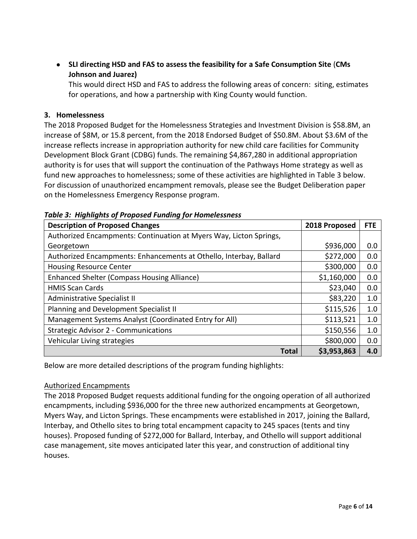• **SLI directing HSD and FAS to assess the feasibility for a Safe Consumption Site** (**CMs Johnson and Juarez)**

This would direct HSD and FAS to address the following areas of concern: siting, estimates for operations, and how a partnership with King County would function.

## **3. Homelessness**

The 2018 Proposed Budget for the Homelessness Strategies and Investment Division is \$58.8M, an increase of \$8M, or 15.8 percent, from the 2018 Endorsed Budget of \$50.8M. About \$3.6M of the increase reflects increase in appropriation authority for new child care facilities for Community Development Block Grant (CDBG) funds. The remaining \$4,867,280 in additional appropriation authority is for uses that will support the continuation of the Pathways Home strategy as well as fund new approaches to homelessness; some of these activities are highlighted in Table 3 below. For discussion of unauthorized encampment removals, please see the Budget Deliberation paper on the Homelessness Emergency Response program.

| <b>Description of Proposed Changes</b>                             | 2018 Proposed | <b>FTE</b> |
|--------------------------------------------------------------------|---------------|------------|
| Authorized Encampments: Continuation at Myers Way, Licton Springs, |               |            |
| Georgetown                                                         | \$936,000     | 0.0        |
| Authorized Encampments: Enhancements at Othello, Interbay, Ballard | \$272,000     | 0.0        |
| <b>Housing Resource Center</b>                                     | \$300,000     | 0.0        |
| <b>Enhanced Shelter (Compass Housing Alliance)</b>                 | \$1,160,000   | 0.0        |
| <b>HMIS Scan Cards</b>                                             | \$23,040      | 0.0        |
| Administrative Specialist II                                       | \$83,220      | 1.0        |
| Planning and Development Specialist II                             | \$115,526     | 1.0        |
| Management Systems Analyst (Coordinated Entry for All)             | \$113,521     | 1.0        |
| <b>Strategic Advisor 2 - Communications</b>                        | \$150,556     | 1.0        |
| Vehicular Living strategies                                        | \$800,000     | 0.0        |
| <b>Total</b>                                                       | \$3,953,863   | 4.0        |

### *Table 3: Highlights of Proposed Funding for Homelessness*

Below are more detailed descriptions of the program funding highlights:

### Authorized Encampments

The 2018 Proposed Budget requests additional funding for the ongoing operation of all authorized encampments, including \$936,000 for the three new authorized encampments at Georgetown, Myers Way, and Licton Springs. These encampments were established in 2017, joining the Ballard, Interbay, and Othello sites to bring total encampment capacity to 245 spaces (tents and tiny houses). Proposed funding of \$272,000 for Ballard, Interbay, and Othello will support additional case management, site moves anticipated later this year, and construction of additional tiny houses.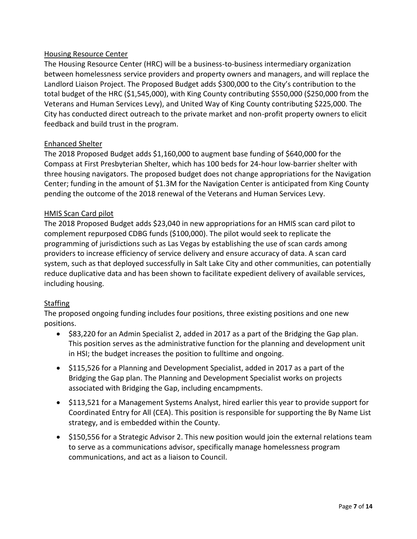### Housing Resource Center

The Housing Resource Center (HRC) will be a business-to-business intermediary organization between homelessness service providers and property owners and managers, and will replace the Landlord Liaison Project. The Proposed Budget adds \$300,000 to the City's contribution to the total budget of the HRC (\$1,545,000), with King County contributing \$550,000 (\$250,000 from the Veterans and Human Services Levy), and United Way of King County contributing \$225,000. The City has conducted direct outreach to the private market and non-profit property owners to elicit feedback and build trust in the program.

### Enhanced Shelter

The 2018 Proposed Budget adds \$1,160,000 to augment base funding of \$640,000 for the Compass at First Presbyterian Shelter, which has 100 beds for 24-hour low-barrier shelter with three housing navigators. The proposed budget does not change appropriations for the Navigation Center; funding in the amount of \$1.3M for the Navigation Center is anticipated from King County pending the outcome of the 2018 renewal of the Veterans and Human Services Levy.

### HMIS Scan Card pilot

The 2018 Proposed Budget adds \$23,040 in new appropriations for an HMIS scan card pilot to complement repurposed CDBG funds (\$100,000). The pilot would seek to replicate the programming of jurisdictions such as Las Vegas by establishing the use of scan cards among providers to increase efficiency of service delivery and ensure accuracy of data. A scan card system, such as that deployed successfully in Salt Lake City and other communities, can potentially reduce duplicative data and has been shown to facilitate expedient delivery of available services, including housing.

### Staffing

The proposed ongoing funding includes four positions, three existing positions and one new positions.

- \$83,220 for an Admin Specialist 2, added in 2017 as a part of the Bridging the Gap plan. This position serves as the administrative function for the planning and development unit in HSI; the budget increases the position to fulltime and ongoing.
- \$115,526 for a Planning and Development Specialist, added in 2017 as a part of the Bridging the Gap plan. The Planning and Development Specialist works on projects associated with Bridging the Gap, including encampments.
- \$113,521 for a Management Systems Analyst, hired earlier this year to provide support for Coordinated Entry for All (CEA). This position is responsible for supporting the By Name List strategy, and is embedded within the County.
- \$150,556 for a Strategic Advisor 2. This new position would join the external relations team to serve as a communications advisor, specifically manage homelessness program communications, and act as a liaison to Council.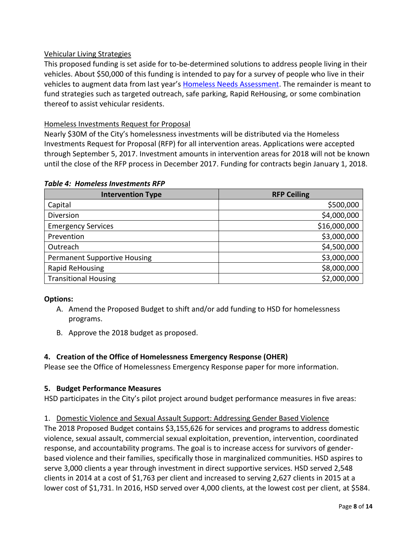## Vehicular Living Strategies

This proposed funding is set aside for to-be-determined solutions to address people living in their vehicles. About \$50,000 of this funding is intended to pay for a survey of people who live in their vehicles to augment data from last year's [Homeless Needs Assessment.](https://www.documentcloud.org/documents/3480319-City-of-Seattle-Homeless-Needs-Assessment-March.html) The remainder is meant to fund strategies such as targeted outreach, safe parking, Rapid ReHousing, or some combination thereof to assist vehicular residents.

### Homeless Investments Request for Proposal

Nearly \$30M of the City's homelessness investments will be distributed via the Homeless Investments Request for Proposal (RFP) for all intervention areas. Applications were accepted through September 5, 2017. Investment amounts in intervention areas for 2018 will not be known until the close of the RFP process in December 2017. Funding for contracts begin January 1, 2018.

### *Table 4: Homeless Investments RFP*

| <b>Intervention Type</b>            | <b>RFP Ceiling</b> |
|-------------------------------------|--------------------|
| Capital                             | \$500,000          |
| Diversion                           | \$4,000,000        |
| <b>Emergency Services</b>           | \$16,000,000       |
| Prevention                          | \$3,000,000        |
| Outreach                            | \$4,500,000        |
| <b>Permanent Supportive Housing</b> | \$3,000,000        |
| Rapid ReHousing                     | \$8,000,000        |
| <b>Transitional Housing</b>         | \$2,000,000        |

### **Options:**

- A. Amend the Proposed Budget to shift and/or add funding to HSD for homelessness programs.
- B. Approve the 2018 budget as proposed.

### **4. Creation of the Office of Homelessness Emergency Response (OHER)**

Please see the Office of Homelessness Emergency Response paper for more information.

### **5. Budget Performance Measures**

HSD participates in the City's pilot project around budget performance measures in five areas:

### 1. Domestic Violence and Sexual Assault Support: Addressing Gender Based Violence

The 2018 Proposed Budget contains \$3,155,626 for services and programs to address domestic violence, sexual assault, commercial sexual exploitation, prevention, intervention, coordinated response, and accountability programs. The goal is to increase access for survivors of genderbased violence and their families, specifically those in marginalized communities. HSD aspires to serve 3,000 clients a year through investment in direct supportive services. HSD served 2,548 clients in 2014 at a cost of \$1,763 per client and increased to serving 2,627 clients in 2015 at a lower cost of \$1,731. In 2016, HSD served over 4,000 clients, at the lowest cost per client, at \$584.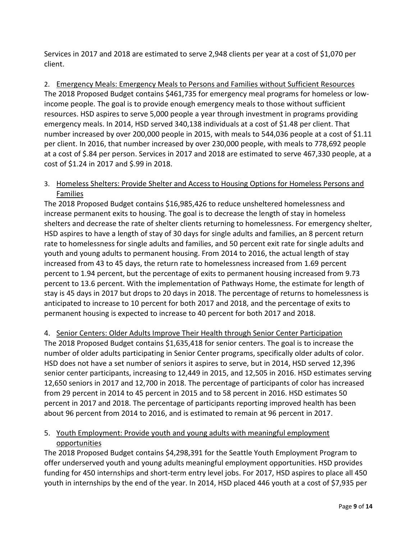Services in 2017 and 2018 are estimated to serve 2,948 clients per year at a cost of \$1,070 per client.

2. Emergency Meals: Emergency Meals to Persons and Families without Sufficient Resources The 2018 Proposed Budget contains \$461,735 for emergency meal programs for homeless or lowincome people. The goal is to provide enough emergency meals to those without sufficient resources. HSD aspires to serve 5,000 people a year through investment in programs providing emergency meals. In 2014, HSD served 340,138 individuals at a cost of \$1.48 per client. That number increased by over 200,000 people in 2015, with meals to 544,036 people at a cost of \$1.11 per client. In 2016, that number increased by over 230,000 people, with meals to 778,692 people at a cost of \$.84 per person. Services in 2017 and 2018 are estimated to serve 467,330 people, at a cost of \$1.24 in 2017 and \$.99 in 2018.

## 3. Homeless Shelters: Provide Shelter and Access to Housing Options for Homeless Persons and Families

The 2018 Proposed Budget contains \$16,985,426 to reduce unsheltered homelessness and increase permanent exits to housing. The goal is to decrease the length of stay in homeless shelters and decrease the rate of shelter clients returning to homelessness. For emergency shelter, HSD aspires to have a length of stay of 30 days for single adults and families, an 8 percent return rate to homelessness for single adults and families, and 50 percent exit rate for single adults and youth and young adults to permanent housing. From 2014 to 2016, the actual length of stay increased from 43 to 45 days, the return rate to homelessness increased from 1.69 percent percent to 1.94 percent, but the percentage of exits to permanent housing increased from 9.73 percent to 13.6 percent. With the implementation of Pathways Home, the estimate for length of stay is 45 days in 2017 but drops to 20 days in 2018. The percentage of returns to homelessness is anticipated to increase to 10 percent for both 2017 and 2018, and the percentage of exits to permanent housing is expected to increase to 40 percent for both 2017 and 2018.

# 4. Senior Centers: Older Adults Improve Their Health through Senior Center Participation

The 2018 Proposed Budget contains \$1,635,418 for senior centers. The goal is to increase the number of older adults participating in Senior Center programs, specifically older adults of color. HSD does not have a set number of seniors it aspires to serve, but in 2014, HSD served 12,396 senior center participants, increasing to 12,449 in 2015, and 12,505 in 2016. HSD estimates serving 12,650 seniors in 2017 and 12,700 in 2018. The percentage of participants of color has increased from 29 percent in 2014 to 45 percent in 2015 and to 58 percent in 2016. HSD estimates 50 percent in 2017 and 2018. The percentage of participants reporting improved health has been about 96 percent from 2014 to 2016, and is estimated to remain at 96 percent in 2017.

# 5. Youth Employment: Provide youth and young adults with meaningful employment opportunities

The 2018 Proposed Budget contains \$4,298,391 for the Seattle Youth Employment Program to offer underserved youth and young adults meaningful employment opportunities. HSD provides funding for 450 internships and short-term entry level jobs. For 2017, HSD aspires to place all 450 youth in internships by the end of the year. In 2014, HSD placed 446 youth at a cost of \$7,935 per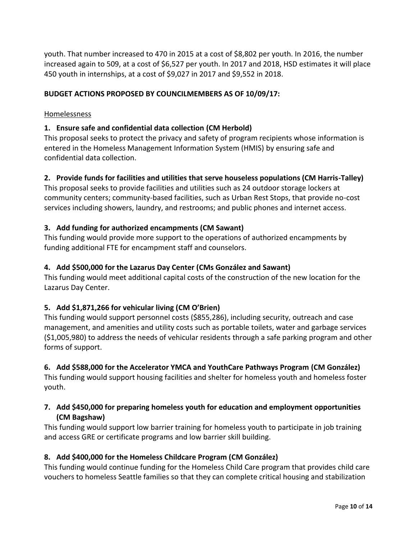youth. That number increased to 470 in 2015 at a cost of \$8,802 per youth. In 2016, the number increased again to 509, at a cost of \$6,527 per youth. In 2017 and 2018, HSD estimates it will place 450 youth in internships, at a cost of \$9,027 in 2017 and \$9,552 in 2018.

## **BUDGET ACTIONS PROPOSED BY COUNCILMEMBERS AS OF 10/09/17:**

### Homelessness

### **1. Ensure safe and confidential data collection (CM Herbold)**

This proposal seeks to protect the privacy and safety of program recipients whose information is entered in the Homeless Management Information System (HMIS) by ensuring safe and confidential data collection.

### **2. Provide funds for facilities and utilities that serve houseless populations (CM Harris-Talley)**

This proposal seeks to provide facilities and utilities such as 24 outdoor storage lockers at community centers; community-based facilities, such as Urban Rest Stops, that provide no-cost services including showers, laundry, and restrooms; and public phones and internet access.

### **3. Add funding for authorized encampments (CM Sawant)**

This funding would provide more support to the operations of authorized encampments by funding additional FTE for encampment staff and counselors.

### **4. Add \$500,000 for the Lazarus Day Center (CMs González and Sawant)**

This funding would meet additional capital costs of the construction of the new location for the Lazarus Day Center.

### **5. Add \$1,871,266 for vehicular living (CM O'Brien)**

This funding would support personnel costs (\$855,286), including security, outreach and case management, and amenities and utility costs such as portable toilets, water and garbage services (\$1,005,980) to address the needs of vehicular residents through a safe parking program and other forms of support.

### **6. Add \$588,000 for the Accelerator YMCA and YouthCare Pathways Program (CM González)**

This funding would support housing facilities and shelter for homeless youth and homeless foster youth.

## **7. Add \$450,000 for preparing homeless youth for education and employment opportunities (CM Bagshaw)**

This funding would support low barrier training for homeless youth to participate in job training and access GRE or certificate programs and low barrier skill building.

### **8. Add \$400,000 for the Homeless Childcare Program (CM González)**

This funding would continue funding for the Homeless Child Care program that provides child care vouchers to homeless Seattle families so that they can complete critical housing and stabilization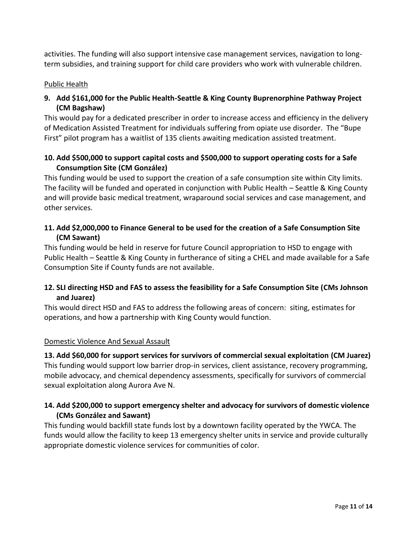activities. The funding will also support intensive case management services, navigation to longterm subsidies, and training support for child care providers who work with vulnerable children.

## Public Health

# **9. Add \$161,000 for the Public Health-Seattle & King County Buprenorphine Pathway Project (CM Bagshaw)**

This would pay for a dedicated prescriber in order to increase access and efficiency in the delivery of Medication Assisted Treatment for individuals suffering from opiate use disorder. The "Bupe First" pilot program has a waitlist of 135 clients awaiting medication assisted treatment.

## **10. Add \$500,000 to support capital costs and \$500,000 to support operating costs for a Safe Consumption Site (CM González)**

This funding would be used to support the creation of a safe consumption site within City limits. The facility will be funded and operated in conjunction with Public Health – Seattle & King County and will provide basic medical treatment, wraparound social services and case management, and other services.

## **11. Add \$2,000,000 to Finance General to be used for the creation of a Safe Consumption Site (CM Sawant)**

This funding would be held in reserve for future Council appropriation to HSD to engage with Public Health – Seattle & King County in furtherance of siting a CHEL and made available for a Safe Consumption Site if County funds are not available.

## **12. SLI directing HSD and FAS to assess the feasibility for a Safe Consumption Site (CMs Johnson and Juarez)**

This would direct HSD and FAS to address the following areas of concern: siting, estimates for operations, and how a partnership with King County would function.

### Domestic Violence And Sexual Assault

**13. Add \$60,000 for support services for survivors of commercial sexual exploitation (CM Juarez)** This funding would support low barrier drop-in services, client assistance, recovery programming, mobile advocacy, and chemical dependency assessments, specifically for survivors of commercial sexual exploitation along Aurora Ave N.

## **14. Add \$200,000 to support emergency shelter and advocacy for survivors of domestic violence (CMs González and Sawant)**

This funding would backfill state funds lost by a downtown facility operated by the YWCA. The funds would allow the facility to keep 13 emergency shelter units in service and provide culturally appropriate domestic violence services for communities of color.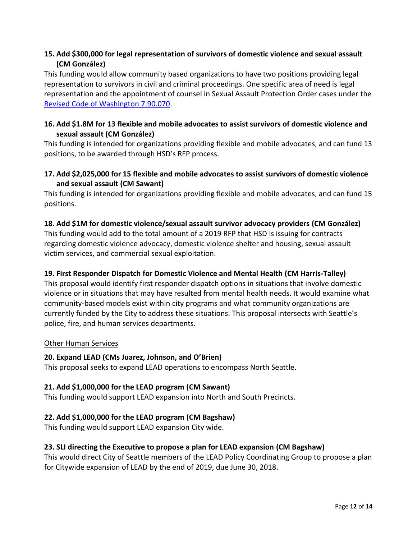## **15. Add \$300,000 for legal representation of survivors of domestic violence and sexual assault (CM González)**

This funding would allow community based organizations to have two positions providing legal representation to survivors in civil and criminal proceedings. One specific area of need is legal representation and the appointment of counsel in Sexual Assault Protection Order cases under the [Revised Code of Washington](https://app.leg.wa.gov/rcw/default.aspx?cite=7.90.070) 7.90.070.

## **16. Add \$1.8M for 13 flexible and mobile advocates to assist survivors of domestic violence and sexual assault (CM González)**

This funding is intended for organizations providing flexible and mobile advocates, and can fund 13 positions, to be awarded through HSD's RFP process.

## **17. Add \$2,025,000 for 15 flexible and mobile advocates to assist survivors of domestic violence and sexual assault (CM Sawant)**

This funding is intended for organizations providing flexible and mobile advocates, and can fund 15 positions.

## **18. Add \$1M for domestic violence/sexual assault survivor advocacy providers (CM González)**

This funding would add to the total amount of a 2019 RFP that HSD is issuing for contracts regarding domestic violence advocacy, domestic violence shelter and housing, sexual assault victim services, and commercial sexual exploitation.

## **19. First Responder Dispatch for Domestic Violence and Mental Health (CM Harris-Talley)**

This proposal would identify first responder dispatch options in situations that involve domestic violence or in situations that may have resulted from mental health needs. It would examine what community-based models exist within city programs and what community organizations are currently funded by the City to address these situations. This proposal intersects with Seattle's police, fire, and human services departments.

### Other Human Services

## **20. Expand LEAD (CMs Juarez, Johnson, and O'Brien)**

This proposal seeks to expand LEAD operations to encompass North Seattle.

## **21. Add \$1,000,000 for the LEAD program (CM Sawant)**

This funding would support LEAD expansion into North and South Precincts.

## **22. Add \$1,000,000 for the LEAD program (CM Bagshaw)**

This funding would support LEAD expansion City wide.

### **23. SLI directing the Executive to propose a plan for LEAD expansion (CM Bagshaw)**

This would direct City of Seattle members of the LEAD Policy Coordinating Group to propose a plan for Citywide expansion of LEAD by the end of 2019, due June 30, 2018.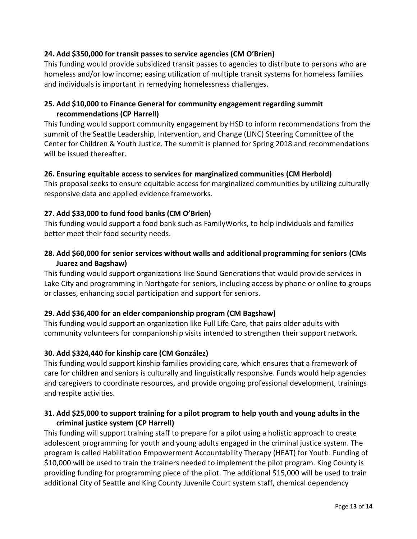## **24. Add \$350,000 for transit passes to service agencies (CM O'Brien)**

This funding would provide subsidized transit passes to agencies to distribute to persons who are homeless and/or low income; easing utilization of multiple transit systems for homeless families and individuals is important in remedying homelessness challenges.

## **25. Add \$10,000 to Finance General for community engagement regarding summit recommendations (CP Harrell)**

This funding would support community engagement by HSD to inform recommendations from the summit of the Seattle Leadership, Intervention, and Change (LINC) Steering Committee of the Center for Children & Youth Justice. The summit is planned for Spring 2018 and recommendations will be issued thereafter.

### **26. Ensuring equitable access to services for marginalized communities (CM Herbold)**

This proposal seeks to ensure equitable access for marginalized communities by utilizing culturally responsive data and applied evidence frameworks.

### **27. Add \$33,000 to fund food banks (CM O'Brien)**

This funding would support a food bank such as FamilyWorks, to help individuals and families better meet their food security needs.

## **28. Add \$60,000 for senior services without walls and additional programming for seniors (CMs Juarez and Bagshaw)**

This funding would support organizations like Sound Generations that would provide services in Lake City and programming in Northgate for seniors, including access by phone or online to groups or classes, enhancing social participation and support for seniors.

### **29. Add \$36,400 for an elder companionship program (CM Bagshaw)**

This funding would support an organization like Full Life Care, that pairs older adults with community volunteers for companionship visits intended to strengthen their support network.

### **30. Add \$324,440 for kinship care (CM González)**

This funding would support kinship families providing care, which ensures that a framework of care for children and seniors is culturally and linguistically responsive. Funds would help agencies and caregivers to coordinate resources, and provide ongoing professional development, trainings and respite activities.

### **31. Add \$25,000 to support training for a pilot program to help youth and young adults in the criminal justice system (CP Harrell)**

This funding will support training staff to prepare for a pilot using a holistic approach to create adolescent programming for youth and young adults engaged in the criminal justice system. The program is called Habilitation Empowerment Accountability Therapy (HEAT) for Youth. Funding of \$10,000 will be used to train the trainers needed to implement the pilot program. King County is providing funding for programming piece of the pilot. The additional \$15,000 will be used to train additional City of Seattle and King County Juvenile Court system staff, chemical dependency